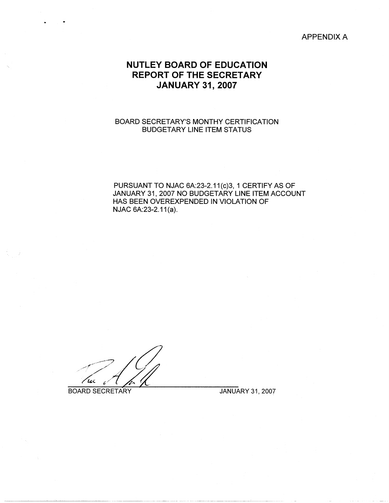# APPENDIX A

# **NUTLEY BOARD OF EDUCATION REPORT OF THE SECRETARY JANUARY 31, 2007**

# BOARD SECRETARY'S MONTHY CERTIFICATION BUDGETARY LINE ITEM STATUS

PURSUANT TO NJAC 6A:23-2.11(c)3, 1 CERTIFY AS OF JANUARY 31, 2007 NO BUDGETARY LINE ITEM ACCOUNT HAS BEEN OVEREXPENDED IN VIOLATION OF NJAC 6A:23-2.11(a).

~-~-~~-~~- ~--------------·--------- -········-··-----·-- ------

BOARD SECRETARY JANUARY 31, 2007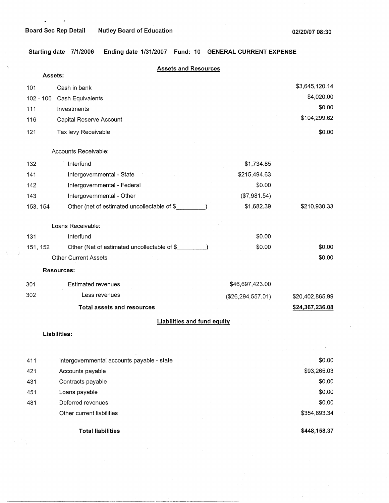$\sigma$ 

 $\mathbf{r}$ 

18

大学 Ť **Starting date 7/1/2006 Ending date 1/31/2007 Fund: 10 GENERAL CURRENT EXPENSE** 

| Assets:     | <b>Assets and Resources</b>                 |                     |                  |
|-------------|---------------------------------------------|---------------------|------------------|
| 101         | Cash in bank                                |                     | \$3,645,120.14   |
| $102 - 106$ | Cash Equivalents                            |                     | \$4,020.00       |
| 111         | Investments                                 |                     | \$0.00           |
| 116         | Capital Reserve Account                     |                     | \$104,299.62     |
| 121         | Tax levy Receivable                         |                     | \$0.00           |
|             | Accounts Receivable:                        |                     |                  |
| 132         | Interfund                                   | \$1,734.85          |                  |
| 141         | Intergovernmental - State                   | \$215,494.63        |                  |
| 142         | Intergovernmental - Federal                 | \$0.00              |                  |
| 143         | Intergovernmental - Other                   | (\$7,981.54)        |                  |
| 153, 154    | Other (net of estimated uncollectable of \$ | \$1,682.39          | \$210,930.33     |
|             | Loans Receivable:                           |                     |                  |
| 131         | Interfund                                   | \$0.00              |                  |
| 151, 152    | Other (Net of estimated uncollectable of \$ | \$0.00              | \$0.00           |
|             | <b>Other Current Assets</b>                 |                     | \$0.00           |
|             | <b>Resources:</b>                           |                     |                  |
| 301         | <b>Estimated revenues</b>                   | \$46,697,423.00     |                  |
| 302         | Less revenues                               | (\$26, 294, 557.01) | \$20,402,865.99  |
|             | <b>Total assets and resources</b>           |                     | \$24,367,236.08  |
|             | <b>Liabilities and fund equity</b>          |                     |                  |
|             | Liabilities:                                |                     |                  |
|             |                                             |                     |                  |
| 411         | Intergovernmental accounts payable - state  |                     | \$0.00           |
| 421         | Accounts payable                            |                     | \$93,265.03      |
| 431         | Contracts payable                           |                     | \$0.00<br>\$0.00 |
| 451         | Loans payable<br>Deferred revenues          |                     | \$0.00           |
| 481         | Other current liabilities                   |                     | \$354,893.34     |
|             |                                             |                     |                  |

**Total liabilities** 

**\$448,158.37**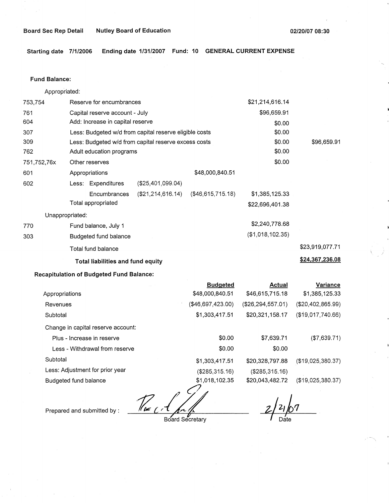# Board Sec Rep Detail Mutley Board of Education **02/20/07 08:30** 02/20/07 08:30

**Starting date 7/1/2006 Ending date 1/31/2007 Fund: 10 GENERAL CURRENT EXPENSE** 

#### **Fund Balance:**

Appropriated:

| 753,754         | Reserve for encumbrances                               |                      |                   | \$21,214,616.14  |                 |
|-----------------|--------------------------------------------------------|----------------------|-------------------|------------------|-----------------|
| 761             | Capital reserve account - July                         |                      |                   | \$96,659.91      |                 |
| 604             | Add: Increase in capital reserve                       |                      |                   | \$0.00           |                 |
| 307             | Less: Budgeted w/d from capital reserve eligible costs |                      |                   | \$0.00           |                 |
| 309             | Less: Budgeted w/d from capital reserve excess costs   |                      |                   | \$0.00           | \$96,659.91     |
| 762             | Adult education programs                               |                      |                   | \$0.00           |                 |
| 751,752,76x     | Other reserves                                         |                      |                   | \$0.00           |                 |
| 601             | Appropriations                                         |                      | \$48,000,840.51   |                  |                 |
| 602             | Less: Expenditures                                     | $(\$25,401,099.04)$  |                   |                  |                 |
|                 | Encumbrances                                           | (\$21, 214, 616, 14) | (\$46,615,715.18) | \$1,385,125.33   |                 |
|                 | Total appropriated                                     |                      |                   | \$22,696,401.38  |                 |
| Unappropriated: |                                                        |                      |                   |                  |                 |
| 770             | Fund balance, July 1                                   |                      |                   | \$2,240,778.68   |                 |
| 303             | Budgeted fund balance                                  |                      |                   | (\$1,018,102.35) |                 |
|                 | Total fund balance                                     |                      |                   |                  | \$23,919,077.71 |
|                 | Total liabilities and fund equity                      |                      |                   |                  | \$24,367,236.08 |

# **Recapitulation of Budgeted Fund Balance:**

|                                    | <b>Budgeted</b>   | Actual              | Variance             |
|------------------------------------|-------------------|---------------------|----------------------|
| Appropriations                     | \$48,000,840.51   | \$46,615,715.18     | \$1,385,125.33       |
| Revenues                           | (\$46,697,423.00) | (\$26, 294, 557.01) | (\$20,402,865.99)    |
| Subtotal                           | \$1,303,417.51    | \$20,321,158.17     | (\$19,017,740.66)    |
| Change in capital reserve account: |                   |                     |                      |
| Plus - Increase in reserve         | \$0.00            | \$7,639.71          | (\$7,639.71)         |
| Less - Withdrawal from reserve     | \$0.00            | \$0.00              |                      |
| Subtotal                           | \$1,303,417.51    | \$20,328,797.88     | $($ \$19,025,380.37) |
| Less: Adjustment for prior year    | (\$285,315.16)    | (\$285,315.16)      |                      |
| Budgeted fund balance              | \$1,018,102.35    | \$20,043,482.72     | (\$19,025,380.37)    |

Prepared and submitted by : *The C* Board Secretary

67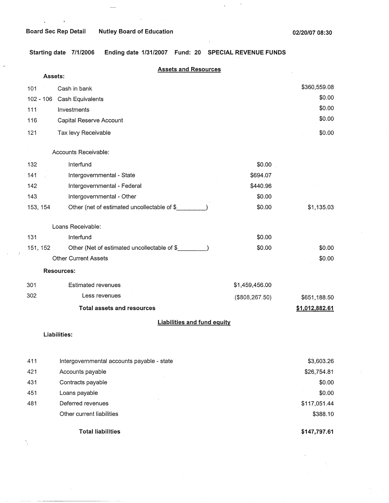$\sim$   $\alpha$ 

 $\mathbf{c}^{\pm}$ 

 $\omega$ 

 $\sim$ 

 $\sim$ 

**Starting date 7/1/2006 Ending date 1/31/2007 Fund: 20 SPECIAL REVENUE FUNDS** 

 $\ddot{\phantom{1}}$ 

|           | <b>Assets and Resources</b>                  |                 |                |
|-----------|----------------------------------------------|-----------------|----------------|
|           | Assets:                                      |                 |                |
| 101       | Cash in bank                                 |                 | \$360,559.08   |
| 102 - 106 | Cash Equivalents                             |                 | \$0.00         |
| 111       | Investments                                  |                 | \$0.00         |
| 116       | Capital Reserve Account                      |                 | \$0.00         |
| 121       | Tax levy Receivable                          |                 | \$0.00         |
|           | Accounts Receivable:                         |                 |                |
| 132       | Interfund                                    | \$0.00          |                |
| 141       | Intergovernmental - State                    | \$694.07        |                |
| 142       | Intergovernmental - Federal                  | \$440.96        |                |
| 143       | Intergovernmental - Other                    | \$0.00          |                |
| 153, 154  | Other (net of estimated uncollectable of \$  | \$0.00          | \$1,135.03     |
|           | Loans Receivable:                            |                 |                |
| 131       | Interfund                                    | \$0.00          |                |
| 151, 152  | Other (Net of estimated uncollectable of \$_ | \$0.00          | \$0.00         |
|           | <b>Other Current Assets</b>                  |                 | \$0.00         |
|           | <b>Resources:</b>                            |                 |                |
| 301       | <b>Estimated revenues</b>                    | \$1,459,456.00  |                |
| 302       | Less revenues                                | (\$808, 267.50) | \$651,188.50   |
|           | <b>Total assets and resources</b>            |                 | \$1,012,882.61 |
|           | <b>Liabilities and fund equity</b>           |                 |                |
|           | Liabilities:                                 |                 |                |
|           |                                              |                 |                |
| 411       | Intergovernmental accounts payable - state   |                 | \$3,603.26     |
| 421       | Accounts payable                             |                 | \$26,754.81    |
| 431       | Contracts payable                            |                 | \$0.00         |
| 451       | Loans payable                                |                 | \$0.00         |
| 481       | Deferred revenues                            |                 | \$117,051.44   |
|           | Other current liabilities                    |                 | \$388.10       |
|           |                                              |                 |                |

**Total liabilities** 

'

I

**\$147,797.61**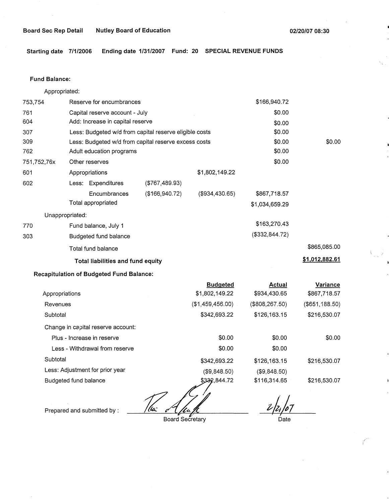**Starting date 7/1/2006 Ending date 1/31/2007 Fund: 20 SPECIAL REVENUE FUNDS** 

### **Fund Balance:**

Appropriated:

| \$0.00<br>Capital reserve account - July<br>Add: Increase in capital reserve<br>\$0.00<br>\$0.00<br>Less: Budgeted w/d from capital reserve eligible costs<br>\$0.00<br>\$0.00<br>Less: Budgeted w/d from capital reserve excess costs<br>\$0.00<br>Adult education programs<br>\$0.00<br>Other reserves<br>\$1,802,149.22<br>Appropriations<br>Less: Expenditures<br>$($ \$767,489.93 $)$<br>(\$934,430.65)<br>(\$166,940.72)<br>\$867,718.57<br>Encumbrances<br>Total appropriated<br>\$1,034,659.29<br>Unappropriated:<br>\$163,270.43<br>Fund balance, July 1<br>(\$332,844.72)<br>Budgeted fund balance<br>\$865,085.00<br>Total fund balance<br>\$1,012,882.61<br><b>Total liabilities and fund equity</b> | 753,754     |  | Reserve for encumbrances |  |  | \$166,940.72 |  |
|------------------------------------------------------------------------------------------------------------------------------------------------------------------------------------------------------------------------------------------------------------------------------------------------------------------------------------------------------------------------------------------------------------------------------------------------------------------------------------------------------------------------------------------------------------------------------------------------------------------------------------------------------------------------------------------------------------------|-------------|--|--------------------------|--|--|--------------|--|
|                                                                                                                                                                                                                                                                                                                                                                                                                                                                                                                                                                                                                                                                                                                  | 761         |  |                          |  |  |              |  |
|                                                                                                                                                                                                                                                                                                                                                                                                                                                                                                                                                                                                                                                                                                                  | 604         |  |                          |  |  |              |  |
|                                                                                                                                                                                                                                                                                                                                                                                                                                                                                                                                                                                                                                                                                                                  | 307         |  |                          |  |  |              |  |
|                                                                                                                                                                                                                                                                                                                                                                                                                                                                                                                                                                                                                                                                                                                  | 309         |  |                          |  |  |              |  |
|                                                                                                                                                                                                                                                                                                                                                                                                                                                                                                                                                                                                                                                                                                                  | 762         |  |                          |  |  |              |  |
|                                                                                                                                                                                                                                                                                                                                                                                                                                                                                                                                                                                                                                                                                                                  | 751,752,76x |  |                          |  |  |              |  |
|                                                                                                                                                                                                                                                                                                                                                                                                                                                                                                                                                                                                                                                                                                                  | 601         |  |                          |  |  |              |  |
|                                                                                                                                                                                                                                                                                                                                                                                                                                                                                                                                                                                                                                                                                                                  | 602         |  |                          |  |  |              |  |
|                                                                                                                                                                                                                                                                                                                                                                                                                                                                                                                                                                                                                                                                                                                  |             |  |                          |  |  |              |  |
|                                                                                                                                                                                                                                                                                                                                                                                                                                                                                                                                                                                                                                                                                                                  |             |  |                          |  |  |              |  |
|                                                                                                                                                                                                                                                                                                                                                                                                                                                                                                                                                                                                                                                                                                                  |             |  |                          |  |  |              |  |
|                                                                                                                                                                                                                                                                                                                                                                                                                                                                                                                                                                                                                                                                                                                  | 770         |  |                          |  |  |              |  |
|                                                                                                                                                                                                                                                                                                                                                                                                                                                                                                                                                                                                                                                                                                                  | 303         |  |                          |  |  |              |  |
|                                                                                                                                                                                                                                                                                                                                                                                                                                                                                                                                                                                                                                                                                                                  |             |  |                          |  |  |              |  |
|                                                                                                                                                                                                                                                                                                                                                                                                                                                                                                                                                                                                                                                                                                                  |             |  |                          |  |  |              |  |

# **Recapitulation of Budgeted Fund Balance:**

|                                    | <b>Budgeted</b>    | Actual          | Variance       |
|------------------------------------|--------------------|-----------------|----------------|
| Appropriations                     | \$1,802,149.22     | \$934,430.65    | \$867,718.57   |
| Revenues                           | (\$1,459,456.00)   | (\$808, 267.50) | (\$651,188.50) |
| Subtotal                           | \$342,693.22       | \$126,163.15    | \$216,530.07   |
| Change in capital reserve account: |                    |                 |                |
| Plus - Increase in reserve         | \$0.00             | \$0.00          | \$0.00         |
| Less - Withdrawal from reserve     | \$0.00             | \$0.00          |                |
| Subtotal                           | \$342,693.22       | \$126,163.15    | \$216,530.07   |
| Less: Adjustment for prior year    | (\$9,848.50)       | (\$9,848.50)    |                |
| Budgeted fund balance              | \$332,844.72<br>مہ | \$116,314.65    | \$216,530.07   |

' (lv: <u>ffn</u>

Prepared and submitted by :

Board Secretary

 $\frac{2}{2}/2$  /07 Date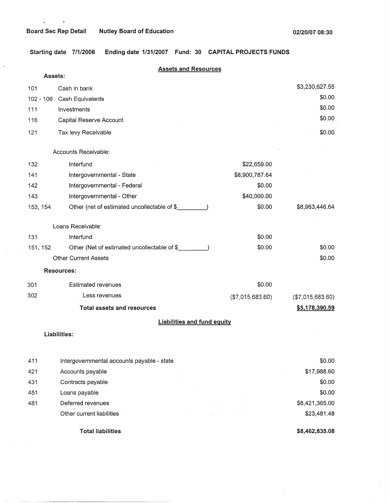$\mathbf{z} = \mathbf{z}$ 

 $\overline{\phantom{a}}$ 

 $\sim$   $\lambda$ 

**Starting date 7/1/2006 Ending date 1/31/2007 Fund: 30 CAPITAL PROJECTS FUNDS** 

| Assets:    | <b>Assets and Resources</b>                 |                  |                  |
|------------|---------------------------------------------|------------------|------------------|
| 101        | Cash in bank                                |                  | \$3,230,627.55   |
| 102 - 106  | Cash Equivalents                            |                  | \$0.00           |
| 111        | Investments                                 |                  | \$0.00           |
| 116        | Capital Reserve Account                     |                  | \$0.00           |
| 121        | Tax levy Receivable                         |                  | \$0.00           |
|            | Accounts Receivable:                        |                  |                  |
| 132        | Interfund                                   | \$22,659.00      |                  |
| 141        | Intergovernmental - State                   | \$8,900,787.64   |                  |
| 142        | Intergovernmental - Federal                 | \$0.00           |                  |
| 143        | Intergovernmental - Other                   | \$40,000.00      |                  |
| 153, 154   | Other (net of estimated uncollectable of \$ | \$0.00           | \$8,963,446.64   |
|            | Loans Receivable:                           |                  |                  |
| 131        | Interfund                                   | \$0.00           |                  |
| 151, 152   | Other (Net of estimated uncollectable of \$ | \$0.00           | \$0.00           |
|            | Other Current Assets                        |                  | \$0.00           |
|            | Resources:                                  |                  |                  |
| 301        | <b>Estimated revenues</b>                   | \$0.00           |                  |
| 302        | Less revenues                               | (\$7,015,683.60) | (\$7,015,683.60) |
|            | <b>Total assets and resources</b>           |                  | \$5,178,390.59   |
|            | <b>Liabilities and fund equity</b>          |                  |                  |
|            | Liabilities:                                |                  |                  |
|            | Intergovernmental accounts payable - state  |                  | \$0.00           |
| 411<br>421 | Accounts payable                            |                  | \$17,988.60      |
| 431        | Contracts payable                           |                  | \$0.00           |
| 451        | Loans payable                               |                  | \$0.00           |
| 481        | Deferred revenues                           |                  | \$8,421,365.00   |
|            | Other current liabilities                   |                  | \$23,481.48      |
|            |                                             |                  |                  |

**Total liabilities** 

**\$8,462,835.08** 

 $\bar{\mathcal{L}}$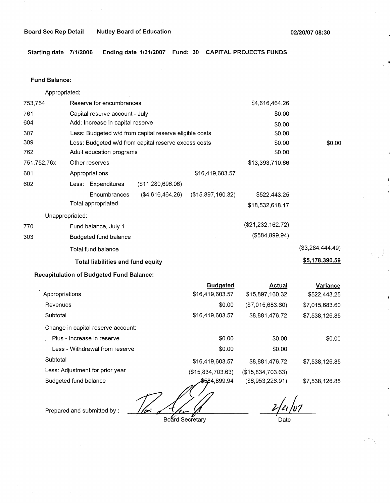**Starting date 7/1/2006 Ending date 1/31/2007 Fund: 30 CAPITAL PROJECTS FUNDS** 

### **Fund Balance:**

Appropriated:

| 753,754         | \$4,616,464.26<br>Reserve for encumbrances             |                   |                   |                     |                     |
|-----------------|--------------------------------------------------------|-------------------|-------------------|---------------------|---------------------|
| 761             | Capital reserve account - July                         | \$0.00            |                   |                     |                     |
| 604             | Add: Increase in capital reserve                       |                   |                   | \$0.00              |                     |
| 307             | Less: Budgeted w/d from capital reserve eligible costs |                   |                   | \$0.00              |                     |
| 309             | Less: Budgeted w/d from capital reserve excess costs   |                   |                   | \$0.00              | \$0.00              |
| 762             | Adult education programs                               |                   |                   | \$0.00              |                     |
| 751,752,76x     | \$13,393,710.66<br>Other reserves                      |                   |                   |                     |                     |
| 601             | Appropriations                                         |                   | \$16,419,603.57   |                     |                     |
| 602             | Less: Expenditures                                     | (\$11,280,696.06) |                   |                     |                     |
|                 | Encumbrances                                           | (\$4,616,464.26)  | (\$15,897,160.32) | \$522,443.25        |                     |
|                 | Total appropriated                                     |                   |                   | \$18,532,618.17     |                     |
| Unappropriated: |                                                        |                   |                   |                     |                     |
| 770             | Fund balance, July 1                                   |                   |                   | $(\$21,232,162.72)$ |                     |
| 303             | Budgeted fund balance                                  |                   |                   | $($ \$584,899.94)   |                     |
|                 | Total fund balance                                     |                   |                   |                     | $($ \$3,284,444.49) |
|                 | Total liabilities and fund equity                      |                   |                   |                     | \$5,178,390.59      |

# **Recapitulation of Budgeted Fund Balance:**

|                                    | <b>Budgeted</b>   | Actual            | Variance       |
|------------------------------------|-------------------|-------------------|----------------|
| Appropriations                     | \$16,419,603.57   | \$15,897,160.32   | \$522,443.25   |
| Revenues                           | \$0.00            | (\$7,015,683.60)  | \$7,015,683.60 |
| Subtotal                           | \$16,419,603.57   | \$8,881,476.72    | \$7,538,126.85 |
| Change in capital reserve account: |                   |                   |                |
| Plus - Increase in reserve         | \$0.00            | \$0.00            | \$0.00         |
| Less - Withdrawal from reserve     | \$0.00            | \$0.00            |                |
| Subtotal                           | \$16,419,603.57   | \$8,881,476.72    | \$7,538,126.85 |
| Less: Adjustment for prior year    | (\$15,834,703.63) | (\$15,834,703.63) |                |
| Budgeted fund balance              | \$5,84,899.94     | (\$6,953,226.91)  | \$7,538,126.85 |
|                                    |                   |                   |                |

ستدحم Board Secretary

Prepared and submitted by :

 $2/21/107$ 

Date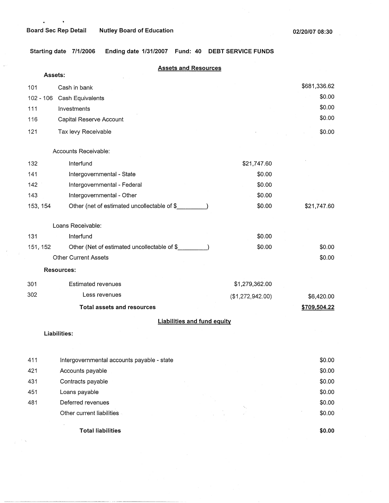$\hat{\mathbf{z}}$ 

J.

 $\frac{1}{2} \frac{E}{\sqrt{2}} = \frac{1}{2} \frac{E}{E}$ 

 $\bullet$ 

**\$0.00** 

**Starting date 7/1/2006 Ending date 1/31/2007 Fund: 40 DEBT SERVICE FUNDS** 

|          | <b>Assets and Resources</b>                 |                  |              |
|----------|---------------------------------------------|------------------|--------------|
|          | Assets:                                     |                  |              |
| 101      | Cash in bank                                |                  | \$681,336.62 |
|          | 102 - 106 Cash Equivalents                  |                  | \$0.00       |
| 111      | Investments                                 |                  | \$0.00       |
| 116      | Capital Reserve Account                     |                  | \$0.00       |
| 121      | Tax levy Receivable                         |                  | \$0.00       |
|          | Accounts Receivable:                        |                  |              |
| 132      | Interfund                                   | \$21,747.60      |              |
| 141      | Intergovernmental - State                   | \$0.00           |              |
| 142      | Intergovernmental - Federal                 | \$0.00           |              |
| 143      | Intergovernmental - Other                   | \$0.00           |              |
| 153, 154 | Other (net of estimated uncollectable of \$ | \$0.00           | \$21,747.60  |
|          | Loans Receivable:                           |                  |              |
| 131      | Interfund                                   | \$0.00           |              |
| 151, 152 | Other (Net of estimated uncollectable of \$ | \$0.00           | \$0.00       |
|          | <b>Other Current Assets</b>                 |                  | \$0.00       |
|          | Resources:                                  |                  |              |
| 301      | <b>Estimated revenues</b>                   | \$1,279,362.00   |              |
| 302      | Less revenues                               | (\$1,272,942.00) | \$6,420.00   |
|          | <b>Total assets and resources</b>           |                  | \$709,504.22 |
|          | <b>Liabilities and fund equity</b>          |                  |              |
|          | Liabilities:                                |                  |              |
|          |                                             |                  |              |
| 411      | Intergovernmental accounts payable - state  |                  | \$0.00       |
| 421      | Accounts payable                            |                  | \$0.00       |
| 431      | Contracts payable                           |                  | \$0.00       |
| 451      | Loans payable                               |                  | \$0.00       |
| 481      | Deferred revenues                           |                  | \$0.00       |
|          | Other current liabilities                   |                  | \$0.00       |

**Total liabilities**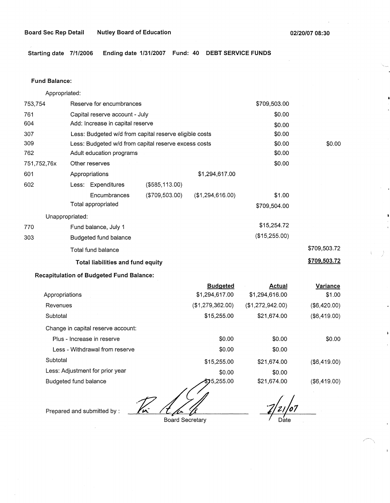**Starting date 7/1/2006 Ending date 1/31/2007 Fund: 40 DEBT SERVICE FUNDS** 

### **Fund Balance:**

Appropriated:

| 753,754         | \$709,503.00<br>Reserve for encumbrances |                                                        |                   |                  |               |                     |
|-----------------|------------------------------------------|--------------------------------------------------------|-------------------|------------------|---------------|---------------------|
| 761             |                                          | Capital reserve account - July                         |                   |                  | \$0.00        |                     |
| 604             |                                          | Add: Increase in capital reserve                       |                   |                  | \$0.00        |                     |
| 307             |                                          | Less: Budgeted w/d from capital reserve eligible costs |                   |                  | \$0.00        |                     |
| 309             |                                          | Less: Budgeted w/d from capital reserve excess costs   |                   |                  | \$0.00        | \$0.00              |
| 762             |                                          | Adult education programs                               |                   |                  | \$0.00        |                     |
| 751,752,76x     | \$0.00<br>Other reserves                 |                                                        |                   |                  |               |                     |
| 601             |                                          | Appropriations                                         |                   | \$1,294,617.00   |               |                     |
| 602             |                                          | Less: Expenditures                                     | $($ \$585,113.00) |                  |               |                     |
|                 |                                          | Encumbrances                                           | (\$709,503.00)    | (\$1,294,616.00) | \$1.00        |                     |
|                 |                                          | Total appropriated                                     |                   |                  | \$709,504.00  |                     |
| Unappropriated: |                                          |                                                        |                   |                  |               |                     |
| 770             |                                          | Fund balance, July 1                                   |                   |                  | \$15,254.72   |                     |
| 303             |                                          | Budgeted fund balance                                  |                   |                  | (\$15,255.00) |                     |
|                 |                                          | Total fund balance                                     |                   |                  |               | \$709,503.72        |
|                 |                                          | Total liabilities and fund equity                      |                   |                  |               | <u>\$709,503.72</u> |

# **Recapitulation of Budgeted Fund Balance:**

|                                    | <b>Budgeted</b>  | Actual           | Variance     |
|------------------------------------|------------------|------------------|--------------|
| Appropriations                     | \$1,294,617.00   | \$1,294,616.00   | \$1.00       |
| Revenues                           | (\$1,279,362.00) | (\$1,272,942.00) | (\$6,420.00) |
| Subtotal                           | \$15,255.00      | \$21,674.00      | (\$6,419.00) |
| Change in capital reserve account: |                  |                  |              |
| Plus - Increase in reserve         | \$0.00           | \$0.00           | \$0.00       |
| Less - Withdrawal from reserve     | \$0.00           | \$0.00           |              |
| Subtotal                           | \$15,255.00      | \$21,674.00      | (\$6,419.00) |
| Less: Adjustment for prior year    | \$0.00           | \$0.00           |              |
| Budgeted fund balance              | \$75,255.00      | \$21,674.00      | (\$6,419.00) |
|                                    |                  |                  |              |
| ΊÑ<br>Prepared and submitted by:   |                  |                  |              |

Board Secretary

 $2/21/07$ 

 $\diagup$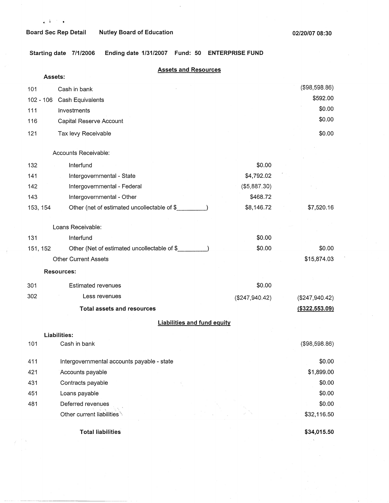$\mathcal{F}(\mathbf{a})$ 

**Starting date 7/1/2006 Ending date 1/31/2007 Fund: 50 ENTERPRISE FUND** 

|                  | <b>Assets and Resources</b><br>Assets:       |                |                                    |
|------------------|----------------------------------------------|----------------|------------------------------------|
|                  |                                              |                | (\$98,598.86)                      |
| 101<br>102 - 106 | Cash in bank                                 |                | \$592.00                           |
| 111              | Cash Equivalents<br>Investments              |                | \$0.00                             |
| 116              | Capital Reserve Account                      |                | \$0.00                             |
|                  |                                              |                | \$0.00                             |
| 121              | Tax levy Receivable                          |                |                                    |
|                  | Accounts Receivable:                         |                |                                    |
| 132              | Interfund                                    | \$0.00         |                                    |
| 141              | Intergovernmental - State                    | \$4,792.02     |                                    |
| 142              | Intergovernmental - Federal                  | (\$5,887.30)   |                                    |
| 143              | Intergovernmental - Other                    | \$468.72       |                                    |
| 153, 154         | Other (net of estimated uncollectable of \$  | \$8,146.72     | \$7,520.16                         |
|                  | Loans Receivable:                            |                |                                    |
| 131              | Interfund                                    | \$0.00         |                                    |
| 151, 152         | Other (Net of estimated uncollectable of \$_ | \$0.00         | \$0.00                             |
|                  | <b>Other Current Assets</b>                  |                | \$15,874.03                        |
|                  | <b>Resources:</b>                            |                |                                    |
| 301              | <b>Estimated revenues</b>                    | \$0.00         |                                    |
| 302              | Less revenues                                | (\$247,940.42) |                                    |
|                  | <b>Total assets and resources</b>            |                | (\$247,940.42)<br>( \$322, 553.09) |
|                  | <b>Liabilities and fund equity</b>           |                |                                    |
|                  |                                              |                |                                    |
| 101              | Liabilities:<br>Cash in bank                 |                | (\$98,598.86)                      |
| 411              | Intergovernmental accounts payable - state   |                | \$0.00                             |
| 421              | Accounts payable                             |                | \$1,899.00                         |
| 431              | Contracts payable                            |                | \$0.00                             |
| 451              | Loans payable                                |                | \$0.00                             |
| 481              | Deferred revenues                            |                | \$0.00                             |
|                  | Other current liabilities                    |                | \$32,116.50                        |
|                  | <b>Total liabilities</b>                     |                | \$34,015.50                        |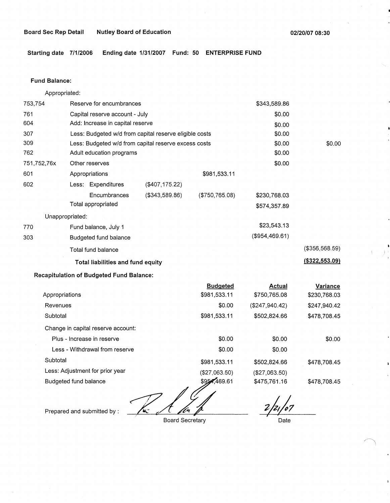**Starting date 7/1/2006 Ending date 1/31/2007 Fund: 50 ENTERPRISE FUND** 

#### **Fund Balance:**

753,754 761 604 Appropriated: Reserve for encumbrances Capital reserve account - July Add: Increase in capital reserve 307 309 762 751,752,76x 601 Less: Budgeted w/d from capital reserve eligible costs Less: Budgeted w/d from capital reserve excess costs Adult education programs 602 770 303 Other reserves Appropriations Less: Expenditures **Encumbrances** Total appropriated Unappropriated: Fund balance, July 1 Budgeted fund balance Total fund balance (\$407,175.22) (\$343,589.86) **Total liabilities and fund equity Recapitulation of Budgeted Fund Balance:**  \$981,533.11 (\$750,765.08) **Budgeted**  \$343,589.86 \$0.00 \$0.00 \$0.00 \$0.00 \$0.00 \$0.00 \$230,768.03 \$574,357.89 \$23,543.13 (\$954,469.61) \$0.00 (\$356,568.59) **(\$322,553.09)** 

|                                    | <b>Budgeted</b> | Actual         | Variance     |
|------------------------------------|-----------------|----------------|--------------|
| Appropriations                     | \$981,533.11    | \$750,765.08   | \$230,768.03 |
| Revenues                           | \$0.00          | (\$247,940.42) | \$247,940.42 |
| Subtotal                           | \$981,533.11    | \$502,824.66   | \$478,708.45 |
| Change in capital reserve account: |                 |                |              |
| Plus - Increase in reserve         | \$0.00          | \$0.00         | \$0.00       |
| Less - Withdrawal from reserve     | \$0.00          | \$0.00         |              |
| Subtotal                           | \$981,533.11    | \$502,824.66   | \$478.708.45 |
| Less: Adjustment for prior year    | (\$27,063.50)   | (\$27,063.50)  |              |
| Budgeted fund balance              | \$954,469.61    | \$475,761.16   | \$478,708.45 |
|                                    |                 |                |              |

Prepared and submitted by :

Board Secretary

Date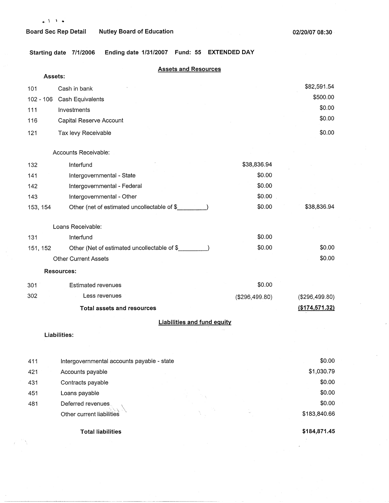**Starting date 7/1/2006 Ending date 1/31/2007 Fund: 55 EXTENDED DAY** 

| <b>Assets and Resources</b><br>Assets: |                                              |                |                |  |  |  |
|----------------------------------------|----------------------------------------------|----------------|----------------|--|--|--|
|                                        |                                              |                | \$82,591.54    |  |  |  |
| 101                                    | Cash in bank                                 |                | \$500.00       |  |  |  |
| $102 - 106$                            | Cash Equivalents                             |                | \$0.00         |  |  |  |
| 111                                    | Investments                                  |                | \$0.00         |  |  |  |
| 116                                    | Capital Reserve Account                      |                |                |  |  |  |
| 121                                    | Tax levy Receivable                          |                | \$0.00         |  |  |  |
|                                        | Accounts Receivable:                         |                |                |  |  |  |
| 132                                    | Interfund                                    | \$38,836.94    |                |  |  |  |
| 141                                    | Intergovernmental - State                    | \$0.00         |                |  |  |  |
| 142                                    | Intergovernmental - Federal                  | \$0.00         |                |  |  |  |
| 143                                    | Intergovernmental - Other                    | \$0.00         |                |  |  |  |
| 153, 154                               | Other (net of estimated uncollectable of \$_ | \$0.00         | \$38,836.94    |  |  |  |
|                                        | Loans Receivable:                            |                |                |  |  |  |
| 131                                    | Interfund                                    | \$0.00         |                |  |  |  |
| 151, 152                               | Other (Net of estimated uncollectable of \$  | \$0.00         | \$0.00         |  |  |  |
|                                        | <b>Other Current Assets</b>                  |                | \$0.00         |  |  |  |
|                                        | <b>Resources:</b>                            |                |                |  |  |  |
| 301                                    | <b>Estimated revenues</b>                    | \$0.00         |                |  |  |  |
| 302                                    | Less revenues                                | (\$296,499.80) | (\$296,499.80) |  |  |  |
|                                        | <b>Total assets and resources</b>            |                | (\$174,571.32) |  |  |  |
|                                        | <b>Liabilities and fund equity</b>           |                |                |  |  |  |
|                                        | Liabilities:                                 |                |                |  |  |  |
|                                        |                                              |                |                |  |  |  |
| 411                                    | Intergovernmental accounts payable - state   |                | \$0.00         |  |  |  |
| 421                                    | Accounts payable                             |                | \$1,030.79     |  |  |  |
| 431                                    | Contracts payable                            |                | \$0.00         |  |  |  |
| 451                                    | Loans payable                                |                | \$0.00         |  |  |  |
| 481                                    | Deferred revenues.                           |                | \$0.00         |  |  |  |
|                                        | Other current liabilities                    |                | \$183,840.66   |  |  |  |

**Total liabilities** 

 $\mathcal{E}^{(1,2)}$  ).

**\$184,871.45** 

 $\overline{a}$